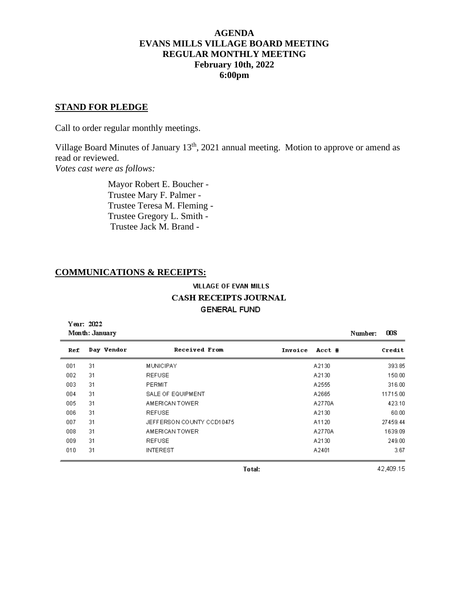## **AGENDA EVANS MILLS VILLAGE BOARD MEETING REGULAR MONTHLY MEETING February 10th, 2022 6:00pm**

## **STAND FOR PLEDGE**

Call to order regular monthly meetings.

Village Board Minutes of January  $13<sup>th</sup>$ , 2021 annual meeting. Motion to approve or amend as read or reviewed. *Votes cast were as follows:*

> Mayor Robert E. Boucher - Trustee Mary F. Palmer - Trustee Teresa M. Fleming - Trustee Gregory L. Smith - Trustee Jack M. Brand -

### **COMMUNICATIONS & RECEIPTS:**

## **VILLAGE OF EVAN MILLS CASH RECEIPTS JOURNAL GENERAL FUND**

| Year: 2022<br>Month: January |            |                           |         |        | Number: | 008      |
|------------------------------|------------|---------------------------|---------|--------|---------|----------|
| Ref                          | Day Vendor | Received From             | Invoice | Acct # |         | Credit   |
| 001                          | 31         | <b>MUNICIPAY</b>          |         | A2130  |         | 393.85   |
| 002                          | 31         | <b>REFUSE</b>             |         | A2130  |         | 150.00   |
| 003                          | 31         | PERMIT                    |         | A2555  |         | 316.00   |
| 004                          | 31         | <b>SALE OF EQUIPMENT</b>  |         | A2665  |         | 11715.00 |
| 005                          | 31         | AMERICAN TOWER            |         | A2770A |         | 423.10   |
| 006                          | 31         | <b>REFUSE</b>             |         | A2130  |         | 60.00    |
| 007                          | 31         | JEFFERSON COUNTY CCD10475 |         | A1120  |         | 27459.44 |
| 008                          | 31         | AMERICAN TOWER            |         | A2770A |         | 1639.09  |
| 009                          | 31         | <b>REFUSE</b>             |         | A2130  |         | 249.00   |
| 010                          | 31         | <b>INTEREST</b>           |         | A2401  |         | 3.67     |

Total:

42,409.15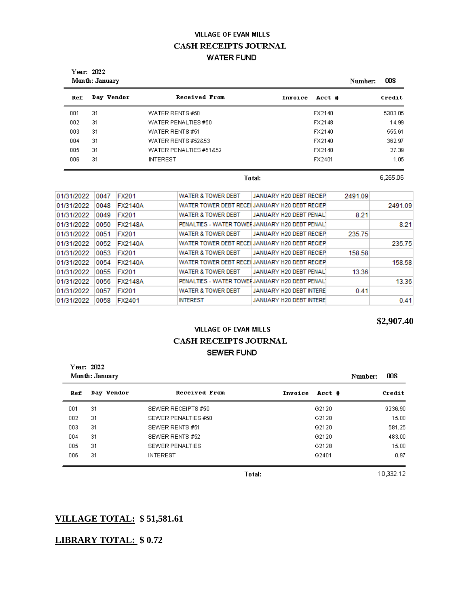# **VILLAGE OF EVAN MILLS CASH RECEIPTS JOURNAL WATER FUND**

| Year: 2022<br>Month: January | 008<br>Number: |                               |                   |         |
|------------------------------|----------------|-------------------------------|-------------------|---------|
| Ref                          | Day Vendor     | <b>Received From</b>          | Invoice<br>Acct # | Credit  |
| 001                          | 31             | WATER RENTS #50               | FX2140            | 5303.05 |
| 002                          | 31             | WATER PENALTIES #50           | FX2148            | 14.99   |
| 003                          | 31             | WATER RENTS #51               | FX2140            | 555.61  |
| 004                          | 31             | <b>WATER RENTS #52&amp;53</b> | FX2140            | 362.97  |
| 005                          | 31             | WATER PENALTIES #51&52        | FX2148            | 27.39   |
| 006                          | 31             | <b>INTEREST</b>               | FX2401            | 1.05    |

Total:

6,265.06

| 01/31/2022 | 0047 | <b>FX201</b>   | <b>WATER &amp; TOWER DEBT</b> | JANUARY H20 DEBT RECIEP                         | 2491.09 |         |
|------------|------|----------------|-------------------------------|-------------------------------------------------|---------|---------|
| 01/31/2022 | 0048 | <b>FX2140A</b> |                               | WATER TOWER DEBT RECEI JANUARY H20 DEBT RECIEP  |         | 2491.09 |
| 01/31/2022 | 0049 | <b>FX201</b>   | <b>WATER &amp; TOWER DEBT</b> | JANUARY H20 DEBT PENAL1                         | 8.21    |         |
| 01/31/2022 | 0050 | <b>FX2148A</b> |                               | PENALTIES - WATER TOWEI JANUARY H20 DEBT PENAL1 |         | 8.21    |
| 01/31/2022 | 0051 | <b>FX201</b>   | <b>WATER &amp; TOWER DEBT</b> | JANUARY H20 DEBT RECIEP                         | 235.75  |         |
| 01/31/2022 | 0052 | <b>FX2140A</b> |                               | WATER TOWER DEBT RECEI JANUARY H20 DEBT RECIEP  |         | 235.75  |
| 01/31/2022 | 0053 | <b>FX201</b>   | <b>WATER &amp; TOWER DEBT</b> | JANUARY H20 DEBT RECIEP                         | 158.58  |         |
| 01/31/2022 | 0054 | <b>FX2140A</b> |                               | WATER TOWER DEBT RECEILJANUARY H20 DEBT RECIEP  |         | 158.58  |
| 01/31/2022 | 0055 | <b>FX201</b>   | <b>WATER &amp; TOWER DEBT</b> | JANUARY H20 DEBT PENALI                         | 13.36   |         |
| 01/31/2022 | 0056 | <b>FX2148A</b> |                               | PENALTIES - WATER TOWER JANUARY H20 DEBT PENAL1 |         | 13.36   |
| 01/31/2022 | 0057 | <b>FX201</b>   | <b>WATER &amp; TOWER DEBT</b> | JANUARY H20 DEBT INTERE                         | 0.41    |         |
| 01/31/2022 | 0058 | FX2401         | <b>INTEREST</b>               | JANUARY H20 DEBT INTERE                         |         | 0.41    |

**\$2,907.40**

# **VILLAGE OF EVAN MILLS** CASH RECEIPTS JOURNAL **SEWER FUND**

| Year: 2022<br>Month: January |            |                        |                   |  | 008     |
|------------------------------|------------|------------------------|-------------------|--|---------|
| Ref                          | Day Vendor | Received From          | Invoice<br>Acct # |  | Credit  |
| 001                          | 31         | SEWER RECEIPTS #50     | G2120             |  | 9236.90 |
| 002                          | 31         | SEWER PENALTIES #50    | G2128             |  | 15.00   |
| 003                          | 31         | SEWER RENTS #51        | G2120             |  | 581.25  |
| 004                          | 31         | SEWER RENTS #52        | G2120             |  | 483.00  |
| 005                          | 31         | <b>SEWER PENALTIES</b> | G2128             |  | 15.00   |
| 006                          | 31         | <b>INTEREST</b>        | G2401             |  | 0.97    |

Total:

10,332.12

# **VILLAGE TOTAL: \$ 51,581.61**

## **LIBRARY TOTAL: \$ 0.72**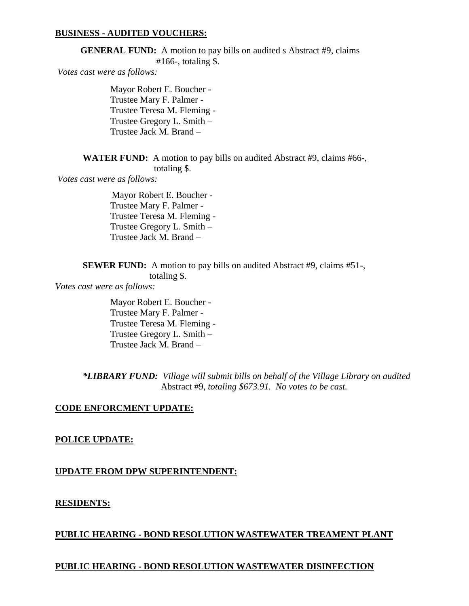### **BUSINESS - AUDITED VOUCHERS:**

**GENERAL FUND:** A motion to pay bills on audited s Abstract #9, claims #166-, totaling \$.

*Votes cast were as follows:*

Mayor Robert E. Boucher - Trustee Mary F. Palmer - Trustee Teresa M. Fleming - Trustee Gregory L. Smith – Trustee Jack M. Brand –

**WATER FUND:** A motion to pay bills on audited Abstract #9, claims #66-, totaling \$.

*Votes cast were as follows:*

 Mayor Robert E. Boucher - Trustee Mary F. Palmer - Trustee Teresa M. Fleming - Trustee Gregory L. Smith – Trustee Jack M. Brand –

**SEWER FUND:** A motion to pay bills on audited Abstract #9, claims #51-,

totaling \$.

*Votes cast were as follows:*

Mayor Robert E. Boucher - Trustee Mary F. Palmer - Trustee Teresa M. Fleming - Trustee Gregory L. Smith – Trustee Jack M. Brand –

*\*LIBRARY FUND: Village will submit bills on behalf of the Village Library on audited* Abstract #9*, totaling \$673.91. No votes to be cast.*

#### **CODE ENFORCMENT UPDATE:**

### **POLICE UPDATE:**

#### **UPDATE FROM DPW SUPERINTENDENT:**

#### **RESIDENTS:**

#### **PUBLIC HEARING - BOND RESOLUTION WASTEWATER TREAMENT PLANT**

### **PUBLIC HEARING - BOND RESOLUTION WASTEWATER DISINFECTION**